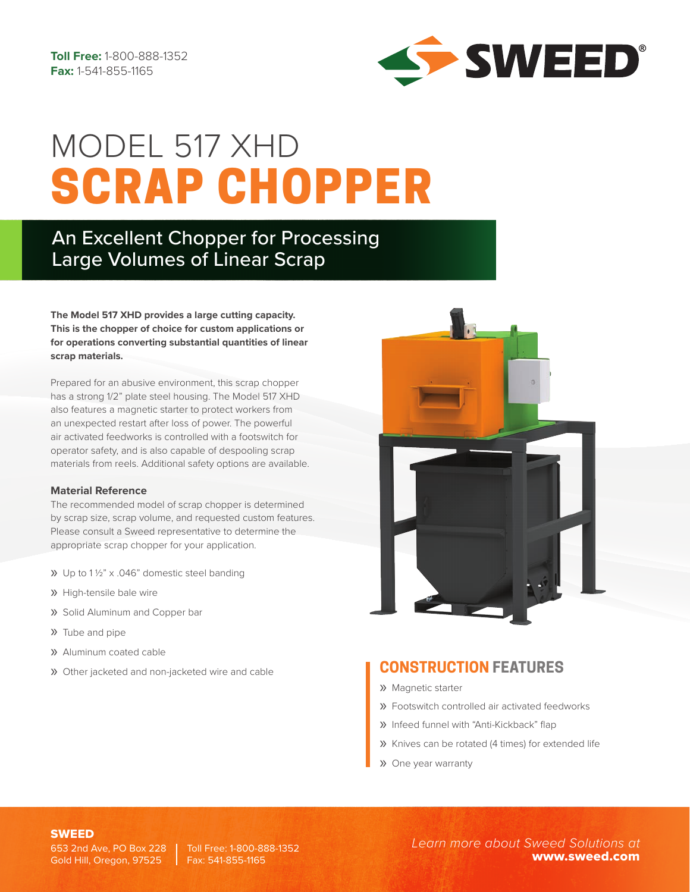

# SCRAP CHOPPER MODEL 517 XHD

## An Excellent Chopper for Processing Large Volumes of Linear Scrap

**The Model 517 XHD provides a large cutting capacity. This is the chopper of choice for custom applications or for operations converting substantial quantities of linear scrap materials.** 

Prepared for an abusive environment, this scrap chopper has a strong 1/2" plate steel housing. The Model 517 XHD also features a magnetic starter to protect workers from an unexpected restart after loss of power. The powerful air activated feedworks is controlled with a footswitch for operator safety, and is also capable of despooling scrap materials from reels. Additional safety options are available.

### **Material Reference**

The recommended model of scrap chopper is determined by scrap size, scrap volume, and requested custom features. Please consult a Sweed representative to determine the appropriate scrap chopper for your application.

- » Up to 1 ½" x .046" domestic steel banding
- » High-tensile bale wire
- » Solid Aluminum and Copper bar
- » Tube and pipe
- » Aluminum coated cable
- » Other jacketed and non-jacketed wire and cable



### **CONSTRUCTION FEATURES**

- » Magnetic starter
- » Footswitch controlled air activated feedworks
- » Infeed funnel with "Anti-Kickback" flap
- » Knives can be rotated (4 times) for extended life
- » One year warranty

653 2nd Ave, PO Box 228 | Toll Free: 1-800-888-1352 Gold Hill, Oregon, 97525

Fax: 541-855-1165

SWEED *Learn more about Sweed Solutions at* www.sweed.com